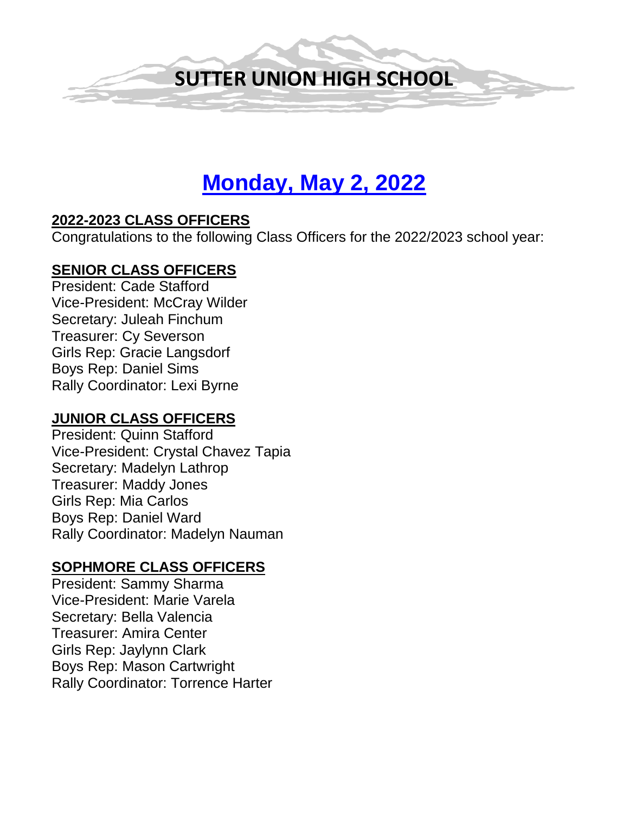

# **Monday, May 2, 2022**

#### **2022-2023 CLASS OFFICERS**

Congratulations to the following Class Officers for the 2022/2023 school year:

#### **SENIOR CLASS OFFICERS**

President: Cade Stafford Vice-President: McCray Wilder Secretary: Juleah Finchum Treasurer: Cy Severson Girls Rep: Gracie Langsdorf Boys Rep: Daniel Sims Rally Coordinator: Lexi Byrne

#### **JUNIOR CLASS OFFICERS**

President: Quinn Stafford Vice-President: Crystal Chavez Tapia Secretary: Madelyn Lathrop Treasurer: Maddy Jones Girls Rep: Mia Carlos Boys Rep: Daniel Ward Rally Coordinator: Madelyn Nauman

#### **SOPHMORE CLASS OFFICERS**

President: Sammy Sharma Vice-President: Marie Varela Secretary: Bella Valencia Treasurer: Amira Center Girls Rep: Jaylynn Clark Boys Rep: Mason Cartwright Rally Coordinator: Torrence Harter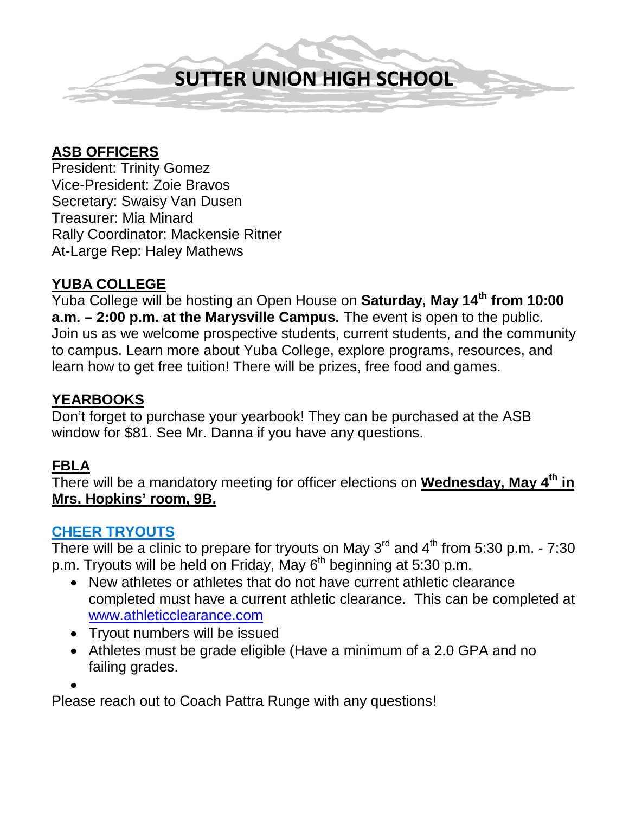

#### **ASB OFFICERS**

President: Trinity Gomez Vice-President: Zoie Bravos Secretary: Swaisy Van Dusen Treasurer: Mia Minard Rally Coordinator: Mackensie Ritner At-Large Rep: Haley Mathews

#### **YUBA COLLEGE**

Yuba College will be hosting an Open House on **Saturday, May 14th from 10:00 a.m. – 2:00 p.m. at the Marysville Campus.** The event is open to the public. Join us as we welcome prospective students, current students, and the community to campus. Learn more about Yuba College, explore programs, resources, and learn how to get free tuition! There will be prizes, free food and games.

#### **YEARBOOKS**

Don't forget to purchase your yearbook! They can be purchased at the ASB window for \$81. See Mr. Danna if you have any questions.

#### **FBLA**

There will be a mandatory meeting for officer elections on **Wednesday, May 4th in Mrs. Hopkins' room, 9B.** 

#### **CHEER TRYOUTS**

There will be a clinic to prepare for tryouts on May  $3^{rd}$  and  $4^{th}$  from 5:30 p.m. - 7:30 p.m. Tryouts will be held on Friday, May  $6<sup>th</sup>$  beginning at 5:30 p.m.

- New athletes or athletes that do not have current athletic clearance completed must have a current athletic clearance. This can be completed at [www.athleticclearance.com](http://www.athleticclearance.com/)
- Tryout numbers will be issued
- Athletes must be grade eligible (Have a minimum of a 2.0 GPA and no failing grades.

•

Please reach out to Coach Pattra Runge with any questions!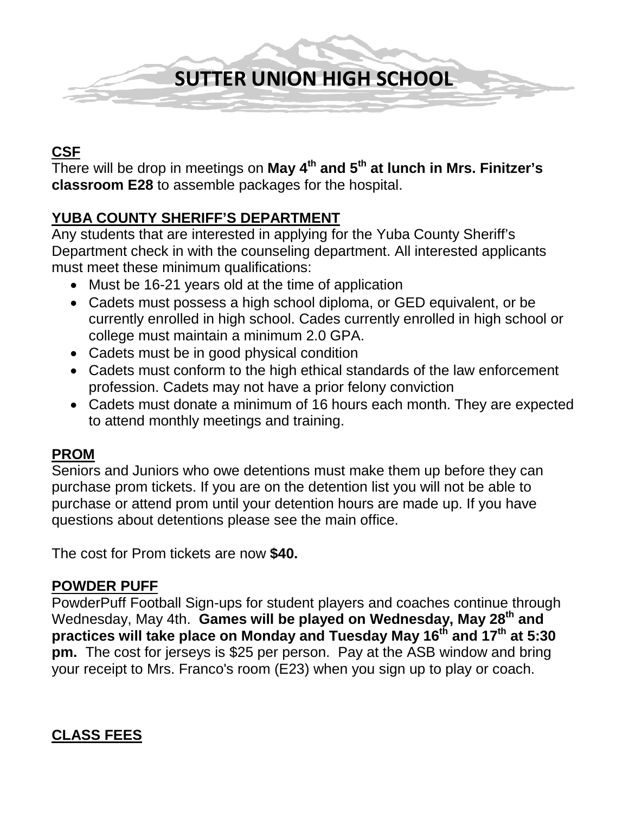

#### **CSF**

There will be drop in meetings on **May 4th and 5th at lunch in Mrs. Finitzer's classroom E28** to assemble packages for the hospital.

#### **YUBA COUNTY SHERIFF'S DEPARTMENT**

Any students that are interested in applying for the Yuba County Sheriff's Department check in with the counseling department. All interested applicants must meet these minimum qualifications:

- Must be 16-21 years old at the time of application
- Cadets must possess a high school diploma, or GED equivalent, or be currently enrolled in high school. Cades currently enrolled in high school or college must maintain a minimum 2.0 GPA.
- Cadets must be in good physical condition
- Cadets must conform to the high ethical standards of the law enforcement profession. Cadets may not have a prior felony conviction
- Cadets must donate a minimum of 16 hours each month. They are expected to attend monthly meetings and training.

#### **PROM**

Seniors and Juniors who owe detentions must make them up before they can purchase prom tickets. If you are on the detention list you will not be able to purchase or attend prom until your detention hours are made up. If you have questions about detentions please see the main office.

The cost for Prom tickets are now **\$40.** 

#### **POWDER PUFF**

PowderPuff Football Sign-ups for student players and coaches continue through Wednesday, May 4th. **Games will be played on Wednesday, May 28th and practices will take place on Monday and Tuesday May 16th and 17th at 5:30 pm.** The cost for jerseys is \$25 per person. Pay at the ASB window and bring your receipt to Mrs. Franco's room (E23) when you sign up to play or coach.

#### **CLASS FEES**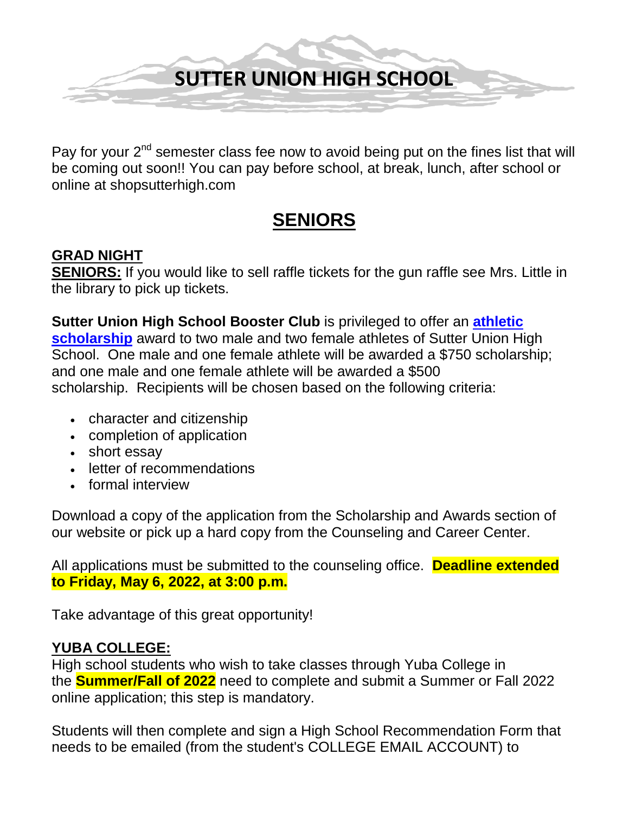

Pay for your 2<sup>nd</sup> semester class fee now to avoid being put on the fines list that will be coming out soon!! You can pay before school, at break, lunch, after school or online at shopsutterhigh.com

## **SENIORS**

#### **GRAD NIGHT**

**SENIORS:** If you would like to sell raffle tickets for the gun raffle see Mrs. Little in the library to pick up tickets.

**Sutter Union High School Booster Club** is privileged to offer an **[athletic](https://ca02205833.schoolwires.net/Page/8453)  [scholarship](https://ca02205833.schoolwires.net/Page/8453)** award to two male and two female athletes of Sutter Union High School. One male and one female athlete will be awarded a \$750 scholarship; and one male and one female athlete will be awarded a \$500 scholarship. Recipients will be chosen based on the following criteria:

- character and citizenship
- completion of application
- short essay
- letter of recommendations
- formal interview

Download a copy of the application from the Scholarship and Awards section of our website or pick up a hard copy from the Counseling and Career Center.

All applications must be submitted to the counseling office. **Deadline extended to Friday, May 6, 2022, at 3:00 p.m.**

Take advantage of this great opportunity!

#### **YUBA COLLEGE:**

High school students who wish to take classes through Yuba College in the **Summer/Fall of 2022** need to complete and submit a Summer or Fall 2022 online application; this step is mandatory.

Students will then complete and sign a High School Recommendation Form that needs to be emailed (from the student's COLLEGE EMAIL ACCOUNT) to